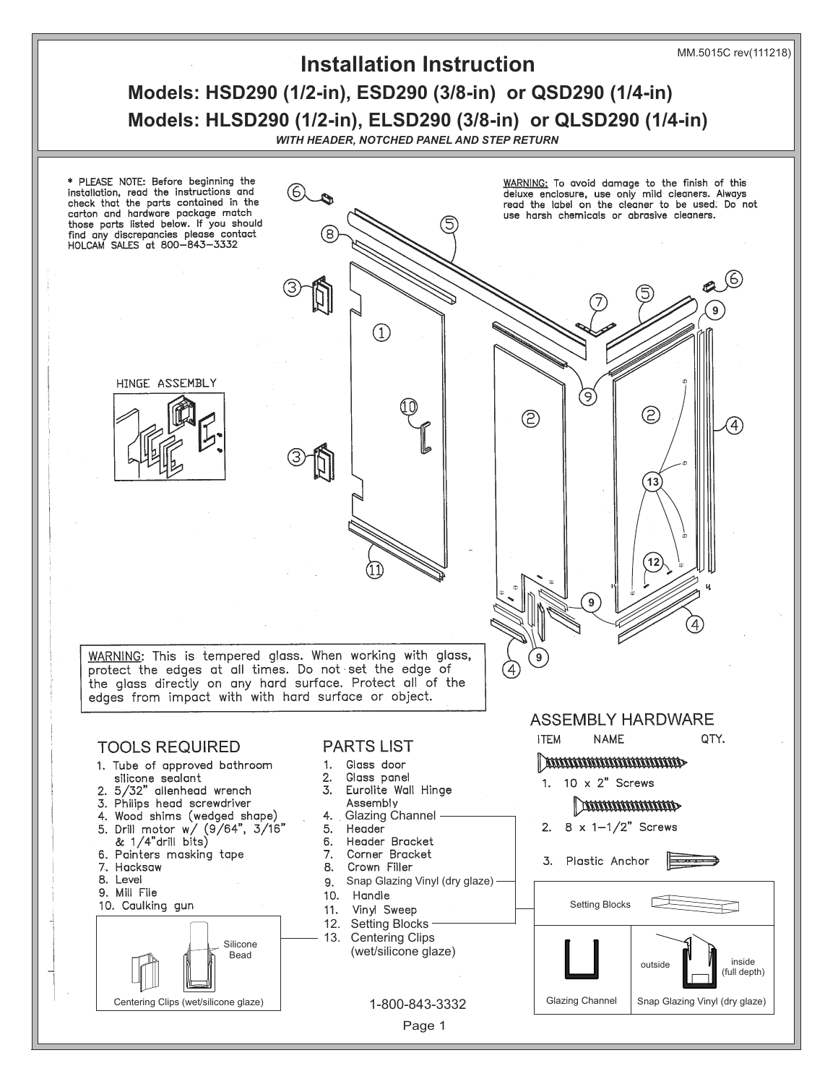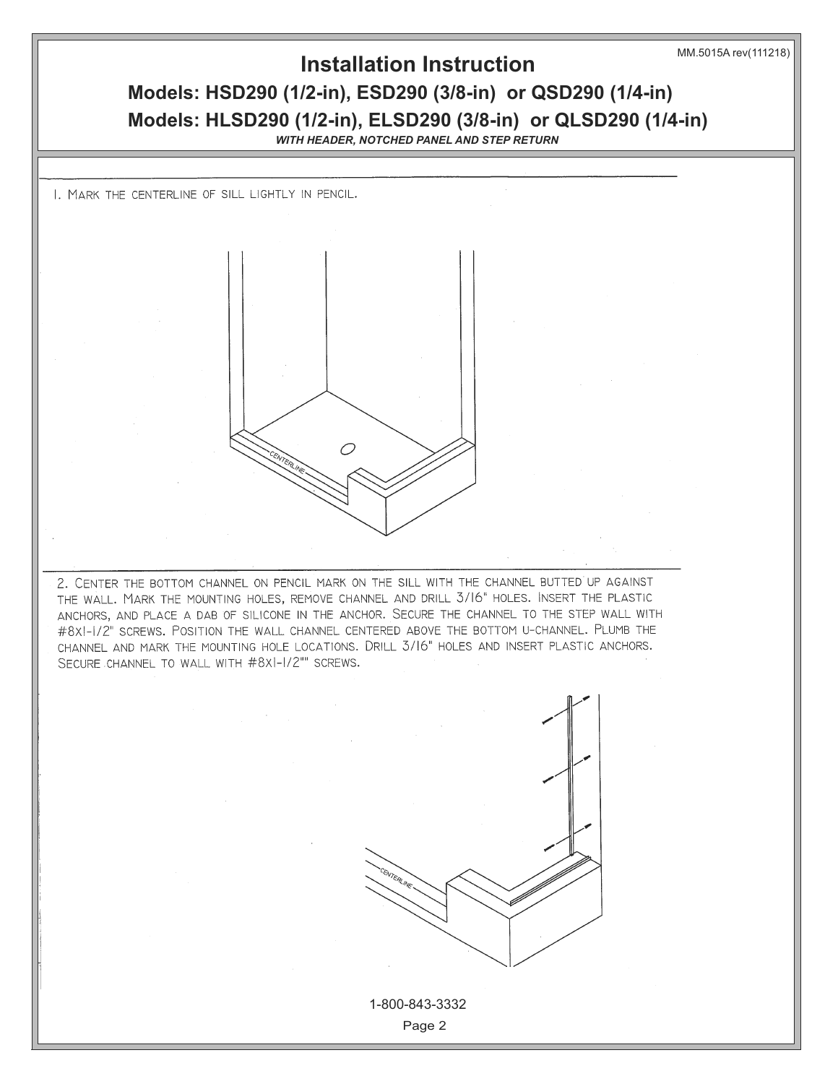

### **Installation Instruction**

## **Models: HSD290 (1/2-in), ESD290 (3/8-in) or QSD290 (1/4-in) Models: HLSD290 (1/2-in), ELSD290 (3/8-in) or QLSD290 (1/4-in)**

*WITH HEADER, NOTCHED PANEL AND STEP RETURN*

I. MARK THE CENTERLINE OF SILL LIGHTLY IN PENCIL.



2. CENTER THE BOTTOM CHANNEL ON PENCIL MARK ON THE SILL WITH THE CHANNEL BUTTED UP AGAINST THE WALL. MARK THE MOUNTING HOLES, REMOVE CHANNEL AND DRILL 3/16" HOLES. INSERT THE PLASTIC ANCHORS, AND PLACE A DAB OF SILICONE IN THE ANCHOR. SECURE THE CHANNEL TO THE STEP WALL WITH #8XI-I/2" SCREWS. POSITION THE WALL CHANNEL CENTERED ABOVE THE BOTTOM U-CHANNEL. PLUMB THE CHANNEL AND MARK THE MOUNTING HOLE LOCATIONS. DRILL 3/16" HOLES AND INSERT PLASTIC ANCHORS. SECURE CHANNEL TO WALL WITH #8XI-I/2"" SCREWS.



Page 2 1-800-843-3332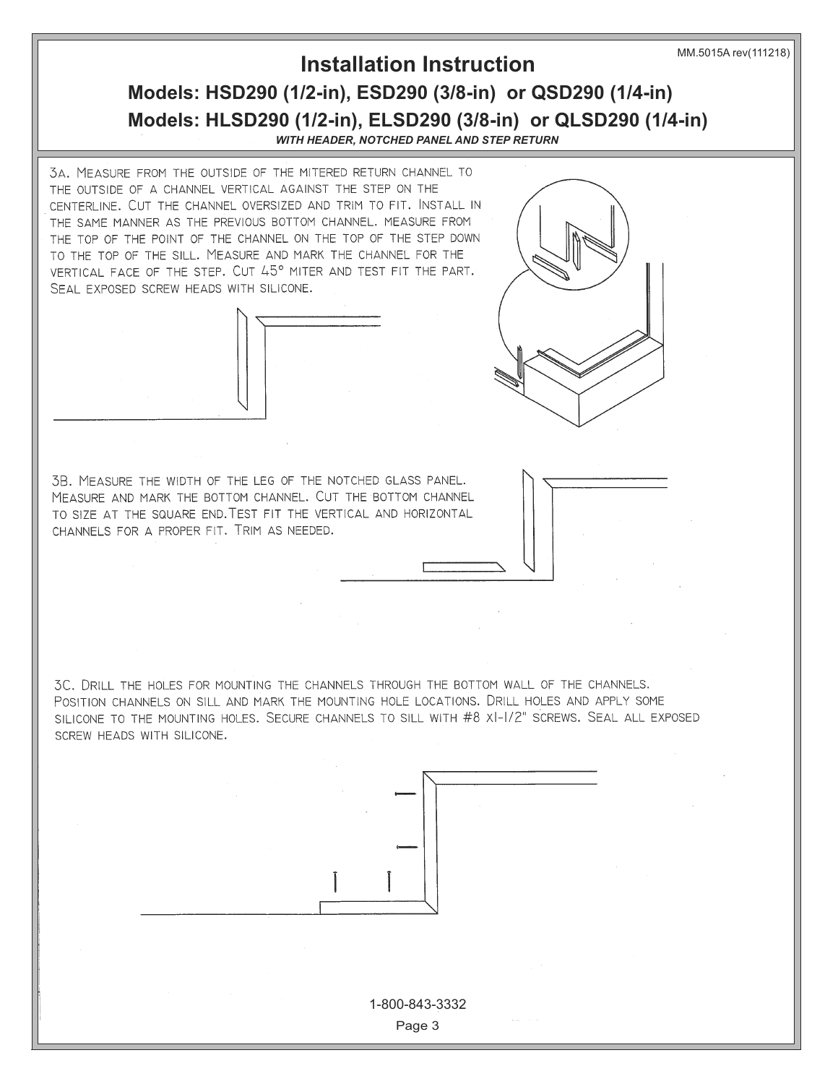MM.5015A rev(111218)

### **Models: HSD290 (1/2-in), ESD290 (3/8-in) or QSD290 (1/4-in) Models: HLSD290 (1/2-in), ELSD290 (3/8-in) or QLSD290 (1/4-in) Installation Instruction**

*WITH HEADER, NOTCHED PANEL AND STEP RETURN*

3A. MEASURE FROM THE OUTSIDE OF THE MITERED RETURN CHANNEL TO THE OUTSIDE OF A CHANNEL VERTICAL AGAINST THE STEP ON THE CENTERLINE. CUT THE CHANNEL OVERSIZED AND TRIM TO FIT. INSTALL IN THE SAME MANNER AS THE PREVIOUS BOTTOM CHANNEL. MEASURE FROM THE TOP OF THE POINT OF THE CHANNEL ON THE TOP OF THE STEP DOWN TO THE TOP OF THE SILL. MEASURE AND MARK THE CHANNEL FOR THE VERTICAL FACE OF THE STEP. CUT 45° MITER AND TEST FIT THE PART. SEAL EXPOSED SCREW HEADS WITH SILICONE.





3B. MEASURE THE WIDTH OF THE LEG OF THE NOTCHED GLASS PANEL. MEASURE AND MARK THE BOTTOM CHANNEL. CUT THE BOTTOM CHANNEL TO SIZE AT THE SQUARE END. TEST FIT THE VERTICAL AND HORIZONTAL CHANNELS FOR A PROPER FIT. TRIM AS NEEDED.

3C. DRILL THE HOLES FOR MOUNTING THE CHANNELS THROUGH THE BOTTOM WALL OF THE CHANNELS. POSITION CHANNELS ON SILL AND MARK THE MOUNTING HOLE LOCATIONS. DRILL HOLES AND APPLY SOME SILICONE TO THE MOUNTING HOLES. SECURE CHANNELS TO SILL WITH #8 XI-I/2" SCREWS. SEAL ALL EXPOSED SCREW HEADS WITH SILICONE.



Page 3 1-800-843-3332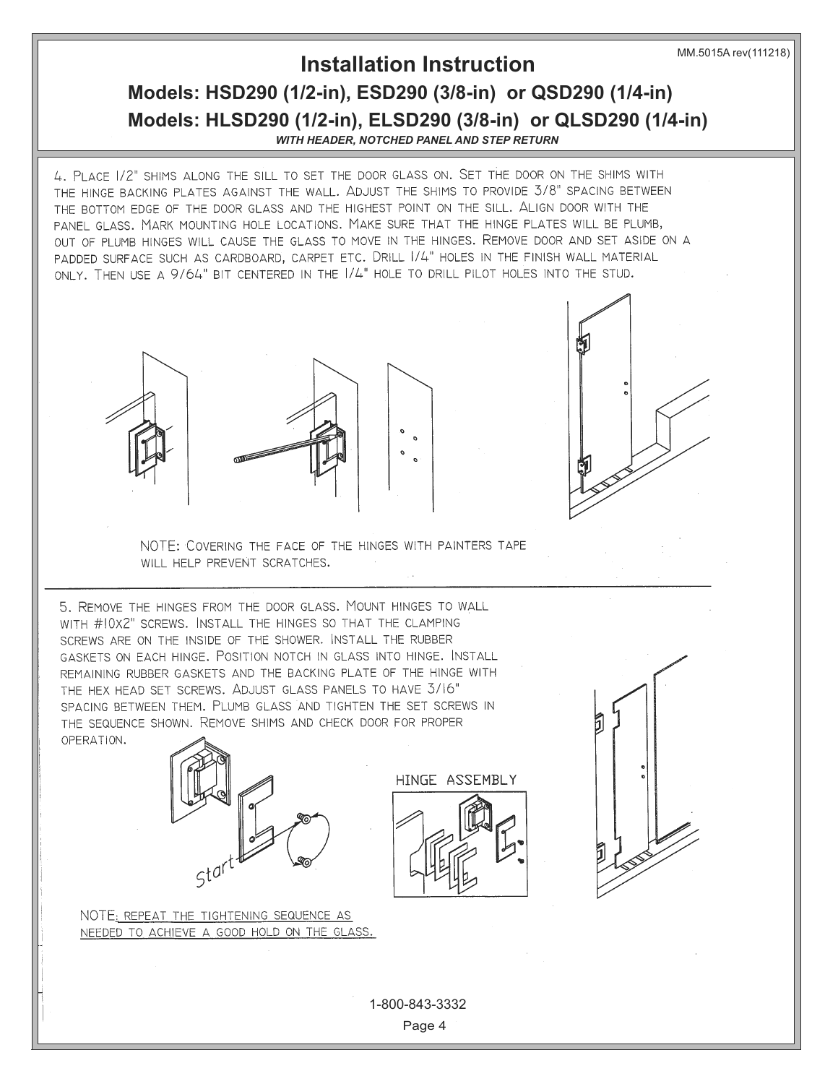# **Installation Instruction**

### **Models: HSD290 (1/2-in), ESD290 (3/8-in) or QSD290 (1/4-in) Models: HLSD290 (1/2-in), ELSD290 (3/8-in) or QLSD290 (1/4-in)** *WITH HEADER, NOTCHED PANEL AND STEP RETURN*

4. PLACE 1/2" SHIMS ALONG THE SILL TO SET THE DOOR GLASS ON. SET THE DOOR ON THE SHIMS WITH THE HINGE BACKING PLATES AGAINST THE WALL. ADJUST THE SHIMS TO PROVIDE 3/8" SPACING BETWEEN THE BOTTOM EDGE OF THE DOOR GLASS AND THE HIGHEST POINT ON THE SILL. ALIGN DOOR WITH THE PANEL GLASS. MARK MOUNTING HOLE LOCATIONS. MAKE SURE THAT THE HINGE PLATES WILL BE PLUMB, OUT OF PLUMB HINGES WILL CAUSE THE GLASS TO MOVE IN THE HINGES. REMOVE DOOR AND SET ASIDE ON A PADDED SURFACE SUCH AS CARDBOARD, CARPET ETC. DRILL 1/4" HOLES IN THE FINISH WALL MATERIAL ONLY. THEN USE A 9/64" BIT CENTERED IN THE 1/4" HOLE TO DRILL PILOT HOLES INTO THE STUD.







NOTE: COVERING THE FACE OF THE HINGES WITH PAINTERS TAPE WILL HELP PREVENT SCRATCHES.

5. REMOVE THE HINGES FROM THE DOOR GLASS. MOUNT HINGES TO WALL WITH #10X2" SCREWS. INSTALL THE HINGES SO THAT THE CLAMPING SCREWS ARE ON THE INSIDE OF THE SHOWER. INSTALL THE RUBBER GASKETS ON EACH HINGE. POSITION NOTCH IN GLASS INTO HINGE. INSTALL REMAINING RUBBER GASKETS AND THE BACKING PLATE OF THE HINGE WITH THE HEX HEAD SET SCREWS. ADJUST GLASS PANELS TO HAVE 3/16" SPACING BETWEEN THEM. PLUMB GLASS AND TIGHTEN THE SET SCREWS IN THE SEQUENCE SHOWN. REMOVE SHIMS AND CHECK DOOR FOR PROPER OPERATION.



NOTE: REPEAT THE TIGHTENING SEQUENCE AS NEEDED TO ACHIEVE A GOOD HOLD ON THE GLASS.





Page 4 1-800-843-3332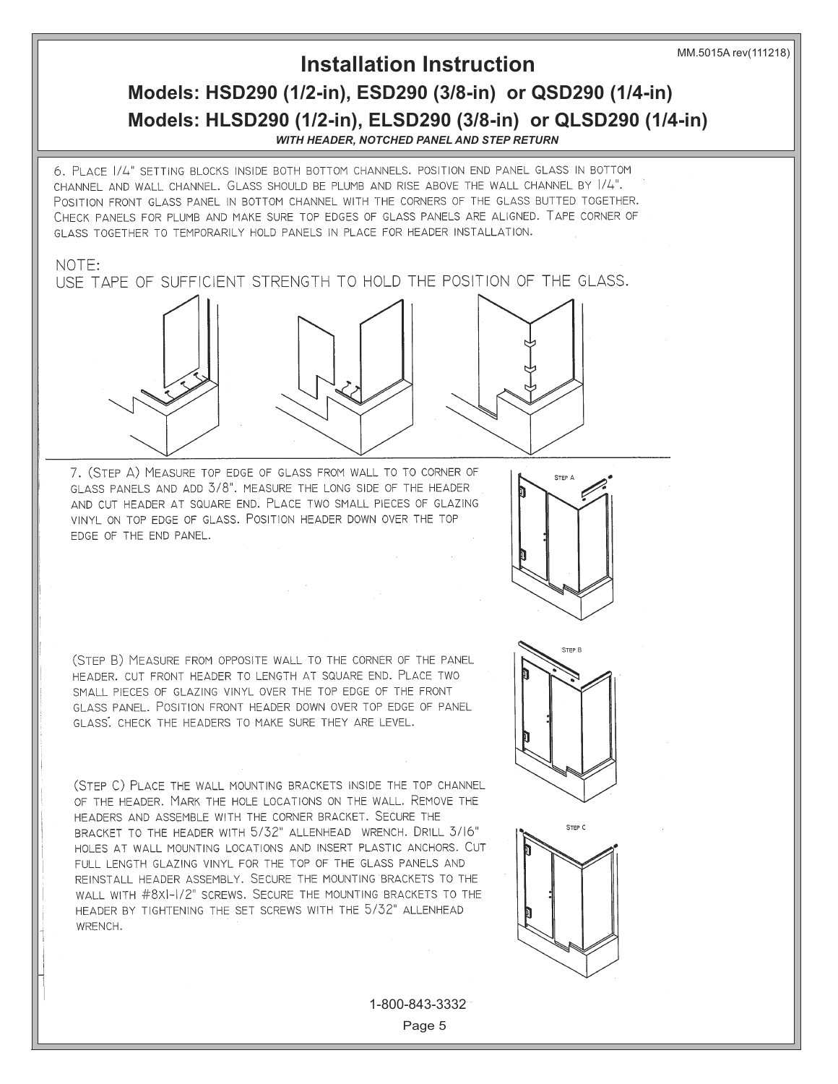### **Installation Instruction**

# **Models: HSD290 (1/2-in), ESD290 (3/8-in) or QSD290 (1/4-in) Models: HLSD290 (1/2-in), ELSD290 (3/8-in) or QLSD290 (1/4-in)**

*WITH HEADER, NOTCHED PANEL AND STEP RETURN*

6. PLACE 1/4" SETTING BLOCKS INSIDE BOTH BOTTOM CHANNELS. POSITION END PANEL GLASS IN BOTTOM CHANNEL AND WALL CHANNEL. GLASS SHOULD BE PLUMB AND RISE ABOVE THE WALL CHANNEL BY 1/4". POSITION FRONT GLASS PANEL IN BOTTOM CHANNEL WITH THE CORNERS OF THE GLASS BUTTED TOGETHER. CHECK PANELS FOR PLUMB AND MAKE SURE TOP EDGES OF GLASS PANELS ARE ALIGNED. TAPE CORNER OF GLASS TOGETHER TO TEMPORARILY HOLD PANELS IN PLACE FOR HEADER INSTALLATION.

#### NOTF:

USF TAPE OF SUFFICIENT STRENGTH TO HOLD THE POSITION OF THE GLASS.

7. (STEP A) MEASURE TOP EDGE OF GLASS FROM WALL TO TO CORNER OF GLASS PANELS AND ADD 3/8". MEASURE THE LONG SIDE OF THE HEADER AND CUT HEADER AT SQUARE END. PLACE TWO SMALL PIECES OF GLAZING VINYL ON TOP EDGE OF GLASS. POSITION HEADER DOWN OVER THE TOP EDGE OF THE END PANEL.



(STEP B) MEASURE FROM OPPOSITE WALL TO THE CORNER OF THE PANEL HEADER. CUT FRONT HEADER TO LENGTH AT SQUARE END. PLACE TWO SMALL PIECES OF GLAZING VINYL OVER THE TOP EDGE OF THE FRONT GLASS PANEL. POSITION FRONT HEADER DOWN OVER TOP EDGE OF PANEL GLASS. CHECK THE HEADERS TO MAKE SURE THEY ARE LEVEL.

(STEP C) PLACE THE WALL MOUNTING BRACKETS INSIDE THE TOP CHANNEL OF THE HEADER. MARK THE HOLE LOCATIONS ON THE WALL. REMOVE THE HEADERS AND ASSEMBLE WITH THE CORNER BRACKET. SECURE THE BRACKET TO THE HEADER WITH 5/32" ALLENHEAD WRENCH. DRILL 3/16" HOLES AT WALL MOUNTING LOCATIONS AND INSERT PLASTIC ANCHORS. CUT FULL LENGTH GLAZING VINYL FOR THE TOP OF THE GLASS PANELS AND REINSTALL HEADER ASSEMBLY. SECURE THE MOUNTING BRACKETS TO THE WALL WITH #8XI-I/2" SCREWS. SECURE THE MOUNTING BRACKETS TO THE HEADER BY TIGHTENING THE SET SCREWS WITH THE 5/32" ALLENHEAD WRENCH.





Page 5 1-800-843-3332